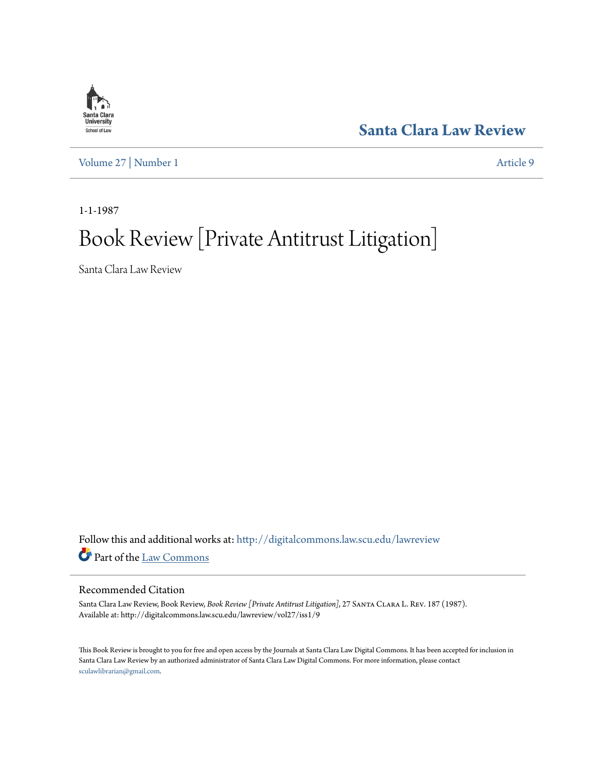

**[Santa Clara Law Review](http://digitalcommons.law.scu.edu/lawreview?utm_source=digitalcommons.law.scu.edu%2Flawreview%2Fvol27%2Fiss1%2F9&utm_medium=PDF&utm_campaign=PDFCoverPages)**

[Volume 27](http://digitalcommons.law.scu.edu/lawreview/vol27?utm_source=digitalcommons.law.scu.edu%2Flawreview%2Fvol27%2Fiss1%2F9&utm_medium=PDF&utm_campaign=PDFCoverPages) | [Number 1](http://digitalcommons.law.scu.edu/lawreview/vol27/iss1?utm_source=digitalcommons.law.scu.edu%2Flawreview%2Fvol27%2Fiss1%2F9&utm_medium=PDF&utm_campaign=PDFCoverPages) [Article 9](http://digitalcommons.law.scu.edu/lawreview/vol27/iss1/9?utm_source=digitalcommons.law.scu.edu%2Flawreview%2Fvol27%2Fiss1%2F9&utm_medium=PDF&utm_campaign=PDFCoverPages)

1-1-1987

## Book Review [Private Antitrust Litigation]

Santa Clara Law Review

Follow this and additional works at: [http://digitalcommons.law.scu.edu/lawreview](http://digitalcommons.law.scu.edu/lawreview?utm_source=digitalcommons.law.scu.edu%2Flawreview%2Fvol27%2Fiss1%2F9&utm_medium=PDF&utm_campaign=PDFCoverPages) Part of the [Law Commons](http://network.bepress.com/hgg/discipline/578?utm_source=digitalcommons.law.scu.edu%2Flawreview%2Fvol27%2Fiss1%2F9&utm_medium=PDF&utm_campaign=PDFCoverPages)

## Recommended Citation

Santa Clara Law Review, Book Review, *Book Review [Private Antitrust Litigation]*, 27 Santa Clara L. Rev. 187 (1987). Available at: http://digitalcommons.law.scu.edu/lawreview/vol27/iss1/9

This Book Review is brought to you for free and open access by the Journals at Santa Clara Law Digital Commons. It has been accepted for inclusion in Santa Clara Law Review by an authorized administrator of Santa Clara Law Digital Commons. For more information, please contact [sculawlibrarian@gmail.com](mailto:sculawlibrarian@gmail.com).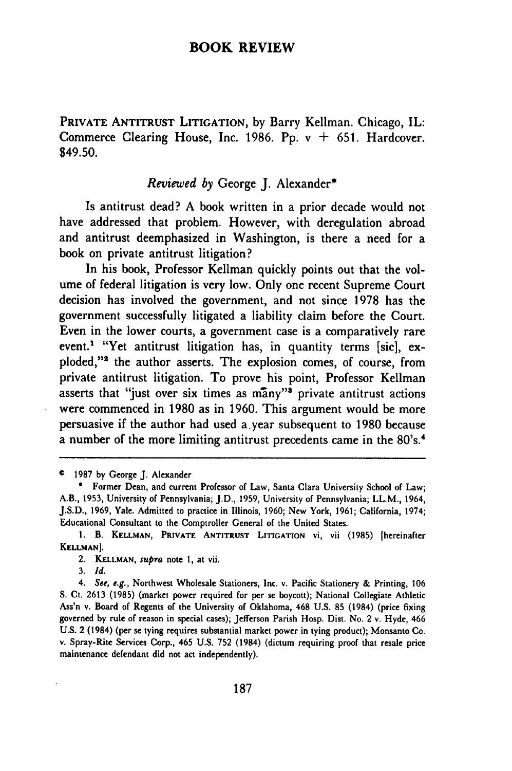## **BOOK REVIEW**

**PRIVATE ANTITRUST LITIGATION,** by Barry Kellman. Chicago, IL: Commerce Clearing House, Inc. 1986. Pp. v **+** 651. Hardcover. \$49.50.

## *Reviewed by* George J. Alexander\*

Is antitrust dead? A book written in a prior decade would not have addressed that problem. However, with deregulation abroad and antitrust deemphasized in Washington, is there a need for a book on private antitrust litigation?

In his book, Professor Kellman quickly points out that the volume of federal litigation is very low. Only one recent Supreme Court decision has involved the government, and not since 1978 has the government successfully litigated a liability claim before the Court. Even in the lower courts, a government case is a comparatively rare event.<sup>1</sup> "Yet antitrust litigation has, in quantity terms [sic], exploded,"<sup>2</sup> the author asserts. The explosion comes, of course, from private antitrust litigation. To prove his point, Professor Kellman asserts that "just over six times as  $m\bar{a}ny$ " private antitrust actions were commenced in 1980 as in 1960. This argument would be more persuasive if the author had used a-year subsequent to 1980 because a number of the more limiting antitrust precedents came in the 80's.<sup>4</sup>

**<sup>1987</sup> by** George J. Alexander

<sup>\*</sup> Former Dean, and current Professor of Law, Santa Clara University School of Law; A.B., 1953, University of Pennsylvania; **J.D.,** 1959, University of Pennsylvania; LL.M., 1964, J.S.D., 1969, Yale. Admitted to practice in Illinois, **1960;** New York, 1961; California, 1974; Educational Consultant to the Comptroller General of the United States.

**<sup>1.</sup>** B. **KELLMAN, PRIVATE ANTITRUST LITIGATION** vi, vii (1985) [hereinafter **KELLMAN].**

<sup>2.</sup> **KELLMAN,** *supra* note **1, at vii.**

<sup>3.</sup> *Id.*

*<sup>4.</sup> See, e.g.,* Northwest Wholesale Stationers, Inc. v. Pacific Stationery & Printing, **106** S. Ct. 2613 (1985) (market power required for per se boycott); National Collegiate Athletic Ass'n v. Board of Regents of the University of Oklahoma, 468 U.S. 85 (1984) (price fixing governed by rule of reason in special cases); Jefferson Parish Hosp. Dist. No. 2 v. Hyde, 466 U.S. 2 (1984) (per se tying requires substantial market power in tying product); Monsanto Co. v. Spray-Rite Services Corp., 465 U.S. 752 (1984) (dictum requiring proof that resale price maintenance defendant did not act independently).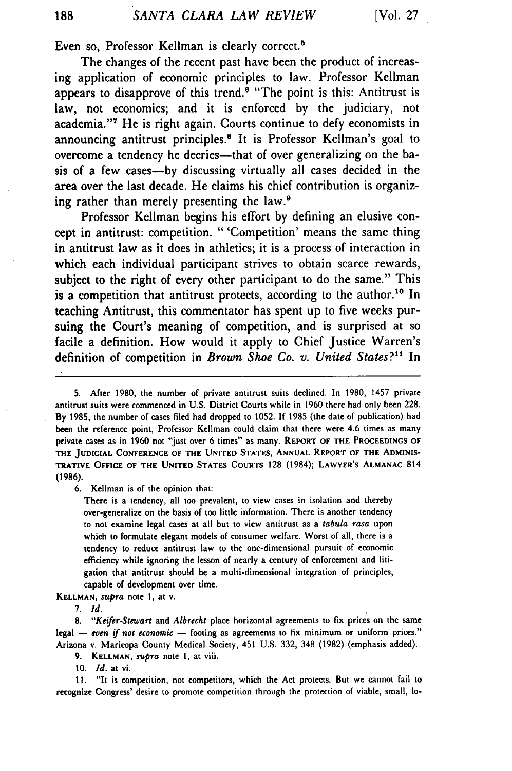Even so, Professor Kellman is clearly correct.<sup>8</sup>

The changes of the recent past have been the product of increasing application of economic principles to law. Professor Kellman appears to disapprove of this trend.<sup>6</sup> "The point is this: Antitrust is law, not economics; and it is enforced by the judiciary, not academia."' He is right again. Courts continue to defy economists in announcing antitrust principles.8 It is Professor Kellman's goal to overcome a tendency he decries—that of over generalizing on the basis of a few cases-by discussing virtually all cases decided in the area over the last decade. He claims his chief contribution is organizing rather than merely presenting the law. $\theta$ 

Professor Kellman begins his effort by defining an elusive concept in antitrust: competition. " 'Competition' means the same thing in antitrust law as it does in athletics; it is a process of interaction in which each individual participant strives to obtain scarce rewards, subject to the right of every other participant to do the same." This is a competition that antitrust protects, according to the author.<sup>10</sup> In teaching Antitrust, this commentator has spent up to five weeks pursuing the Court's meaning of competition, and is surprised at so facile a definition. How would it apply to Chief Justice Warren's definition of competition in *Brown Shoe Co. v. United States?11* In

**6.** Kellman is of the opinion that:

There is a tendency, all too prevalent, to view cases in isolation and thereby over-generalize on the basis of too little information. There is another tendency to not examine legal cases at all but to view antitrust as a *tabula rasa* upon which to formulate elegant models of consumer welfare. Worst of all, there is a tendency to reduce antitrust law to the one-dimensional pursuit. of economic efficiency while ignoring the lesson of nearly a century of enforcement and litigation that antitrust should be a multi-dimensional integration of principles, capable of development over time.

**KELLMAN,** *supra* note **1,** at v.

*7. id.*

**8.** *"Keifer-Stewart* and *Albrecht* place horizontal agreements to fix prices on the same legal - *even if not economic* - footing as agreements to fix minimum or uniform prices." Arizona v. Maricopa County Medical Society, 451 **U.S. 332,** 348 **(1982)** (emphasis added).

**9. KELLMAN, supra note 1,** at viii.

**10.** *Id.* at vi.

**11.** "It is competition, not competitors, which the Act protects. But we cannot fail to recognize **Congress' desire to promote** competition through the **protection of viable, small,** lo-

<sup>5.</sup> After 1980, the number of private antitrust suits declined. In 1980, 1457 private antitrust suits were commenced in U.S. District Courts while in 1960 there had only been 228. **By 1985,** the number of cases filed had dropped to **1052. If** 1985 (the date of publication) had been the reference point, Professor Kellman could claim that there were 4.6 times as many private cases as in 1960 not "just over 6 times" as many. **REPORT OF THE PROCEEDINGS OF THE JUDICIAL CONFERENCE OF THE UNITED STATES, ANNUAL REPORT OF THE ADMINIS-TRATIVE OFFICE OF THE UNITED STATES COURTS 128** (1984); **LAWYER'S ALMANAC** 814 **(1986).**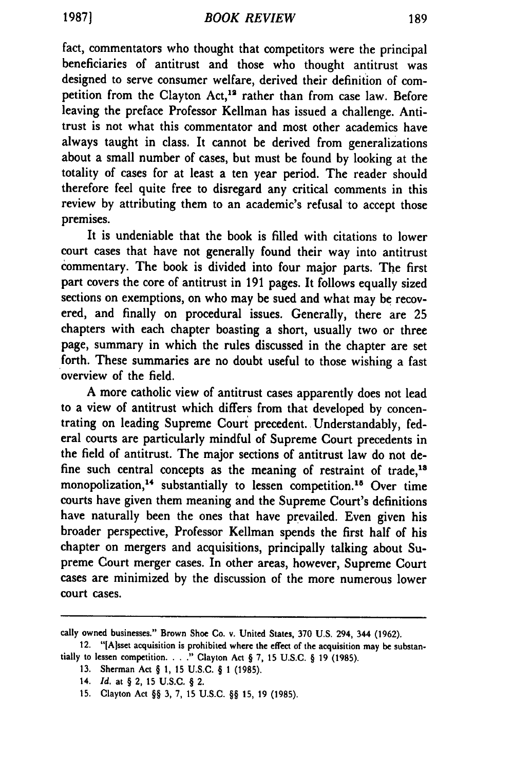fact, commentators who thought that competitors were the principal beneficiaries of antitrust and those who thought antitrust was designed to serve consumer welfare, derived their definition of competition from the Clayton Act,<sup>12</sup> rather than from case law. Before leaving the preface Professor Kellman has issued a challenge. Antitrust is not what this commentator and most other academics have always taught in class. It cannot be derived from generalizations about a small number of cases, but must be found by looking at the totality of cases for at least a ten year period. The reader should therefore feel quite free to disregard any critical comments in this review by attributing them to an academic's refusal to accept those premises.

It is undeniable that the book is filled with citations to lower court cases that have not generally found their way into antitrust commentary. The book is divided into four major parts. The first part covers the core of antitrust in 191 pages. It follows equally sized sections on exemptions, on who may be sued and what may be recovered, and finally on procedural issues. Generally, there are 25 chapters with each chapter boasting a short, usually two or three page, summary in which the rules discussed in the chapter are set forth. These summaries are no doubt useful to those wishing a fast overview of the field.

A more catholic view of antitrust cases apparently does not lead to a view of antitrust which differs from that developed by concentrating on leading Supreme Court precedent. Understandably, federal courts are particularly mindful of Supreme Court precedents in the field of antitrust. The major sections of antitrust law do not **de**fine such central concepts as the meaning of restraint of trade,<sup>18</sup> monopolization,<sup>14</sup> substantially to lessen competition.<sup>15</sup> Over time courts have given them meaning and the Supreme Court's definitions have naturally been the ones that have prevailed. Even given his broader perspective, Professor Kellman spends the first half of his chapter on mergers and acquisitions, principally talking about Supreme Court merger cases. In other areas, however, Supreme Court cases are minimized by the discussion of the more numerous lower court cases.

cally owned businesses." Brown Shoe Co. v. United States, 370 U.S. 294, 344 (1962).

<sup>12.</sup> "[Alsset acquisition is prohibited where the effect of the acquisition may be substantially to lessen competition. . . **."** Clayton Act § 7, 15 U.S.C. § 19 (1985).

<sup>13.</sup> Sherman Act § 1, 15 U.S.C. § 1 (1985).

<sup>14.</sup> *Id.* at § 2, 15 U.S.C. § 2.

<sup>15.</sup> Clayton Act §§ 3, 7, 15 U.S.C. §§ 15, 19 (1985).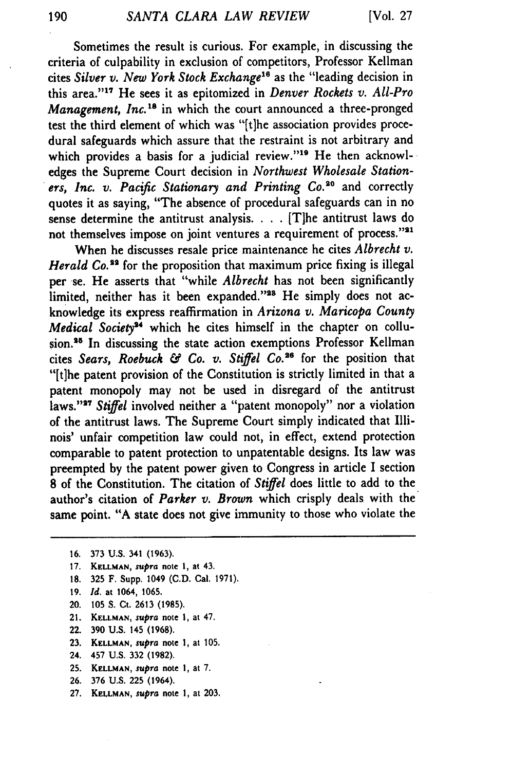Sometimes the result is curious. For example, in discussing the criteria of culpability in exclusion of competitors, Professor Kellman cites *Silver v. New York Stock Exchange"* as the "leading decision in this area."<sup>17</sup> He sees it as epitomized in *Denver Rockets v. All-Pro Management, Inc.*<sup>18</sup> in which the court announced a three-pronged test the third element of which was "[tlhe association provides procedural safeguards which assure that the restraint is not arbitrary and which provides a basis for a judicial review."<sup>19</sup> He then acknowledges the Supreme Court decision in *Northwest Wholesale Stationers, Inc. v. Pacific Stationary and Printing Co.20* and correctly quotes it as saying, "The absence of procedural safeguards can in no sense determine the antitrust analysis. . . . [T]he antitrust laws do not themselves impose on joint ventures a requirement of process."'' .

When he discusses resale price maintenance he cites *Albrecht v. Herald Co.*<sup>33</sup> for the proposition that maximum price fixing is illegal per se. He asserts that "while *Albrecht* has not been significantly limited, neither has it been expanded."<sup>28</sup> He simply does not acknowledge its express reaffirmation in *Arizona v. Maricopa County Medical Society<sup>34</sup>* which he cites himself in the chapter on collusion.<sup>35</sup> In discussing the state action exemptions Professor Kellman cites Sears, Roebuck & Co. v. Stiffel Co.<sup>26</sup> for the position that "[t]he patent provision of the Constitution is strictly limited in that a patent monopoly may not be used in disregard of the antitrust laws."<sup>27</sup> Stiffel involved neither a "patent monopoly" nor a violation of the antitrust laws. The Supreme Court simply indicated that Illinois' unfair competition law could not, in effect, extend protection comparable to patent protection to unpatentable designs. Its law was preempted by the patent power given to Congress in article I section **8** of the Constitution. The citation of *Stiffel* does little to add to the author's citation of *Parker v. Brown* which crisply deals with the same point. "A state does not give immunity to those who violate the

- 20. 105 **S.** Ct. 2613 (1985).
- 21. **KELLMAN,** *supra* note **1,** at 47.
- 22. 390 U.S. 145 (1968).
- 23. **KFLLMAN,** *supra* note 1, at 105.
- 24. 457 U.S. 332 (1982).
- **25. KELLMAN,** *supra* note **1,** at 7.
- 26. 376 U.S. **225** (1964).
- 27. **KELLMAN,** supra note 1, at 203.

**<sup>16.</sup>** 373 U.S. 341 (1963).

<sup>17.</sup> **KELLMAN,** *supra* note **1,** at 43.

<sup>18. 325</sup> F. Supp. 1049 (C.D. Cal. 1971).

<sup>19.</sup> *Id.* at 1064, 1065.